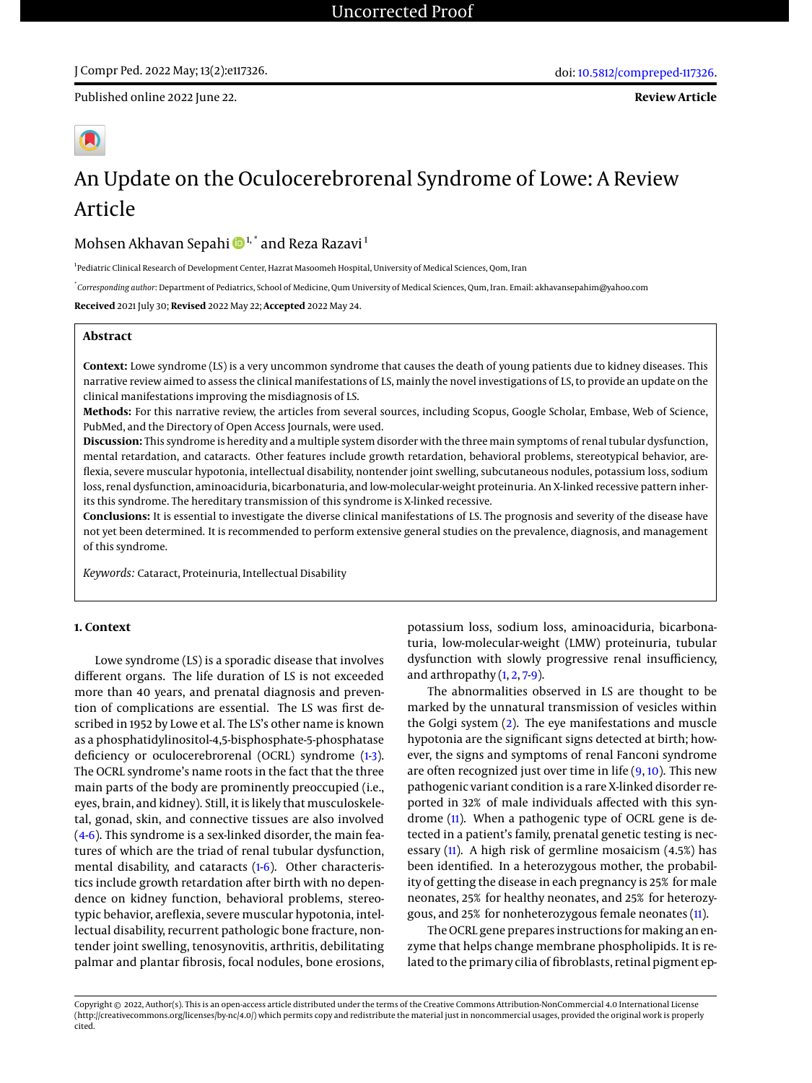Published online 2022 June 22.

# An Update on the Oculocerebrorenal Syndrome of Lowe: A Review Article

Mohsen Akhavan Sepahi  $\mathbf{D}^{1,*}$  and Reza Razavi<sup>1</sup>

<sup>1</sup> Pediatric Clinical Research of Development Center, Hazrat Masoomeh Hospital, University of Medical Sciences, Qom, Iran

\* *Corresponding author*: Department of Pediatrics, School of Medicine, Qum University of Medical Sciences, Qum, Iran. Email: akhavansepahim@yahoo.com

**Received** 2021 July 30; **Revised** 2022 May 22; **Accepted** 2022 May 24.

# **Abstract**

**Context:** Lowe syndrome (LS) is a very uncommon syndrome that causes the death of young patients due to kidney diseases. This narrative review aimed to assess the clinical manifestations of LS, mainly the novel investigations of LS, to provide an update on the clinical manifestations improving the misdiagnosis of LS.

**Methods:** For this narrative review, the articles from several sources, including Scopus, Google Scholar, Embase, Web of Science, PubMed, and the Directory of Open Access Journals, were used.

**Discussion:** This syndrome is heredity and a multiple system disorder with the three main symptoms of renal tubular dysfunction, mental retardation, and cataracts. Other features include growth retardation, behavioral problems, stereotypical behavior, areflexia, severe muscular hypotonia, intellectual disability, nontender joint swelling, subcutaneous nodules, potassium loss, sodium loss, renal dysfunction, aminoaciduria, bicarbonaturia, and low-molecular-weight proteinuria. An X-linked recessive pattern inherits this syndrome. The hereditary transmission of this syndrome is X-linked recessive.

**Conclusions:** It is essential to investigate the diverse clinical manifestations of LS. The prognosis and severity of the disease have not yet been determined. It is recommended to perform extensive general studies on the prevalence, diagnosis, and management of this syndrome.

*Keywords:* Cataract, Proteinuria, Intellectual Disability

## **1. Context**

Lowe syndrome (LS) is a sporadic disease that involves different organs. The life duration of LS is not exceeded more than 40 years, and prenatal diagnosis and prevention of complications are essential. The LS was first described in 1952 by Lowe et al. The LS's other name is known as a phosphatidylinositol-4,5-bisphosphate-5-phosphatase deficiency or oculocerebrorenal (OCRL) syndrome [\(1](#page-3-0)3). The OCRL syndrome's name roots in the fact that the three main parts of the body are prominently preoccupied (i.e., eyes, brain, and kidney). Still, it is likely that musculoskeletal, gonad, skin, and connective tissues are also involved [\(4-](#page-3-2)[6\)](#page-3-3). This syndrome is a sex-linked disorder, the main features of which are the triad of renal tubular dysfunction, mental disability, and cataracts [\(1](#page-3-0)[-6\)](#page-3-3). Other characteristics include growth retardation after birth with no dependence on kidney function, behavioral problems, stereotypic behavior, areflexia, severe muscular hypotonia, intellectual disability, recurrent pathologic bone fracture, nontender joint swelling, tenosynovitis, arthritis, debilitating palmar and plantar fibrosis, focal nodules, bone erosions,

potassium loss, sodium loss, aminoaciduria, bicarbonaturia, low-molecular-weight (LMW) proteinuria, tubular dysfunction with slowly progressive renal insufficiency, and arthropathy [\(1,](#page-3-0) [2,](#page-3-4) [7-](#page-3-5)[9\)](#page-3-6).

The abnormalities observed in LS are thought to be marked by the unnatural transmission of vesicles within the Golgi system [\(2\)](#page-3-4). The eye manifestations and muscle hypotonia are the significant signs detected at birth; however, the signs and symptoms of renal Fanconi syndrome are often recognized just over time in life  $(9, 10)$  $(9, 10)$  $(9, 10)$ . This new pathogenic variant condition is a rare X-linked disorder reported in 32% of male individuals affected with this syndrome [\(11\)](#page-3-8). When a pathogenic type of OCRL gene is detected in a patient's family, prenatal genetic testing is necessary [\(11\)](#page-3-8). A high risk of germline mosaicism (4.5%) has been identified. In a heterozygous mother, the probability of getting the disease in each pregnancy is 25% for male neonates, 25% for healthy neonates, and 25% for heterozygous, and 25% for nonheterozygous female neonates [\(11\)](#page-3-8).

The OCRL gene prepares instructions for making an enzyme that helps change membrane phospholipids. It is related to the primary cilia of fibroblasts, retinal pigment ep-

Copyright © 2022, Author(s). This is an open-access article distributed under the terms of the Creative Commons Attribution-NonCommercial 4.0 International License (http://creativecommons.org/licenses/by-nc/4.0/) which permits copy and redistribute the material just in noncommercial usages, provided the original work is properly cited.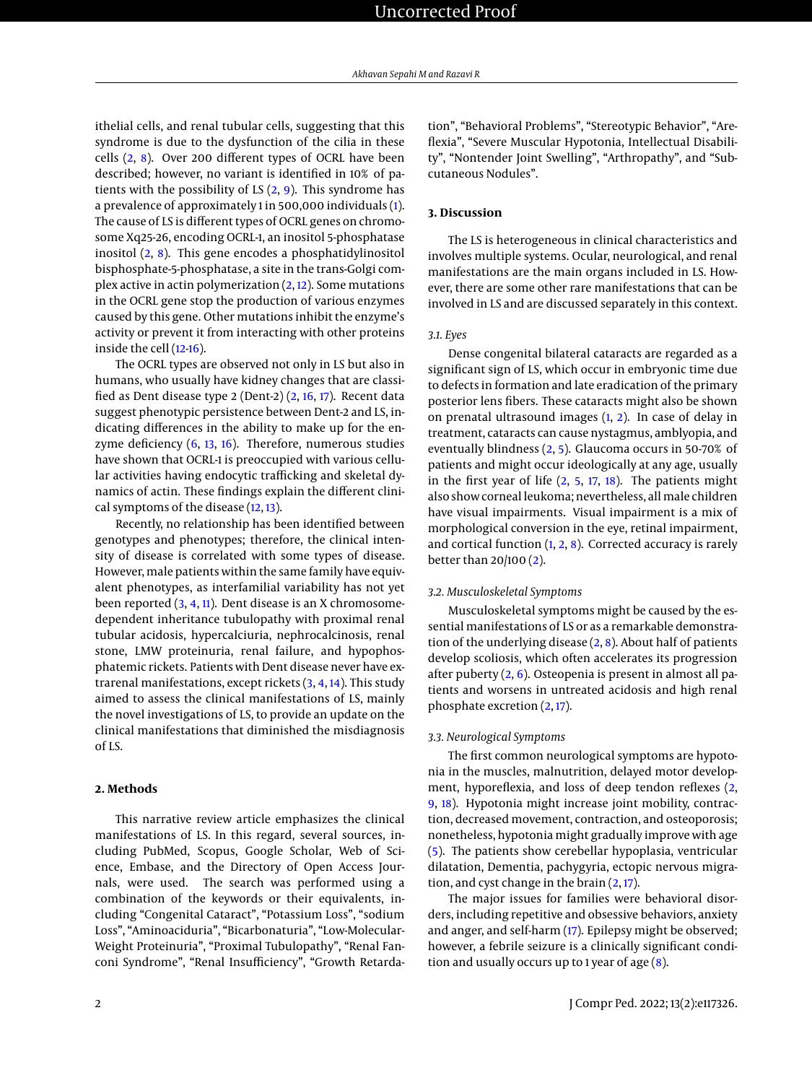ithelial cells, and renal tubular cells, suggesting that this syndrome is due to the dysfunction of the cilia in these cells  $(2, 8)$  $(2, 8)$  $(2, 8)$ . Over 200 different types of OCRL have been described; however, no variant is identified in 10% of patients with the possibility of LS  $(2, 9)$  $(2, 9)$  $(2, 9)$ . This syndrome has a prevalence of approximately 1 in 500,000 individuals [\(1\)](#page-3-0). The cause of LS is different types of OCRL genes on chromosome Xq25-26, encoding OCRL-1, an inositol 5-phosphatase inositol [\(2,](#page-3-4) [8\)](#page-3-9). This gene encodes a phosphatidylinositol bisphosphate-5-phosphatase, a site in the trans-Golgi complex active in actin polymerization  $(2, 12)$  $(2, 12)$  $(2, 12)$ . Some mutations in the OCRL gene stop the production of various enzymes caused by this gene. Other mutations inhibit the enzyme's activity or prevent it from interacting with other proteins inside the cell [\(12-](#page-3-10)[16\)](#page-3-11).

The OCRL types are observed not only in LS but also in humans, who usually have kidney changes that are classified as Dent disease type 2 (Dent-2) [\(2,](#page-3-4) [16,](#page-3-11) [17\)](#page-3-12). Recent data suggest phenotypic persistence between Dent-2 and LS, indicating differences in the ability to make up for the enzyme deficiency  $(6, 13, 16)$  $(6, 13, 16)$  $(6, 13, 16)$  $(6, 13, 16)$  $(6, 13, 16)$ . Therefore, numerous studies have shown that OCRL-1 is preoccupied with various cellular activities having endocytic trafficking and skeletal dynamics of actin. These findings explain the different clinical symptoms of the disease [\(12,](#page-3-10) [13\)](#page-3-13).

Recently, no relationship has been identified between genotypes and phenotypes; therefore, the clinical intensity of disease is correlated with some types of disease. However, male patients within the same family have equivalent phenotypes, as interfamilial variability has not yet been reported [\(3,](#page-3-1) [4,](#page-3-2) [11\)](#page-3-8). Dent disease is an X chromosomedependent inheritance tubulopathy with proximal renal tubular acidosis, hypercalciuria, nephrocalcinosis, renal stone, LMW proteinuria, renal failure, and hypophosphatemic rickets. Patients with Dent disease never have extrarenal manifestations, except rickets [\(3,](#page-3-1) [4,](#page-3-2) [14\)](#page-3-14). This study aimed to assess the clinical manifestations of LS, mainly the novel investigations of LS, to provide an update on the clinical manifestations that diminished the misdiagnosis of LS.

# **2. Methods**

This narrative review article emphasizes the clinical manifestations of LS. In this regard, several sources, including PubMed, Scopus, Google Scholar, Web of Science, Embase, and the Directory of Open Access Journals, were used. The search was performed using a combination of the keywords or their equivalents, including "Congenital Cataract", "Potassium Loss", "sodium Loss", "Aminoaciduria", "Bicarbonaturia", "Low-Molecular-Weight Proteinuria", "Proximal Tubulopathy", "Renal Fanconi Syndrome", "Renal Insufficiency", "Growth Retardation", "Behavioral Problems", "Stereotypic Behavior", "Areflexia", "Severe Muscular Hypotonia, Intellectual Disability", "Nontender Joint Swelling", "Arthropathy", and "Subcutaneous Nodules".

# **3. Discussion**

The LS is heterogeneous in clinical characteristics and involves multiple systems. Ocular, neurological, and renal manifestations are the main organs included in LS. However, there are some other rare manifestations that can be involved in LS and are discussed separately in this context.

# *3.1. Eyes*

Dense congenital bilateral cataracts are regarded as a significant sign of LS, which occur in embryonic time due to defects in formation and late eradication of the primary posterior lens fibers. These cataracts might also be shown on prenatal ultrasound images [\(1,](#page-3-0) [2\)](#page-3-4). In case of delay in treatment, cataracts can cause nystagmus, amblyopia, and eventually blindness [\(2,](#page-3-4) [5\)](#page-3-15). Glaucoma occurs in 50-70% of patients and might occur ideologically at any age, usually in the first year of life  $(2, 5, 17, 18)$  $(2, 5, 17, 18)$  $(2, 5, 17, 18)$  $(2, 5, 17, 18)$  $(2, 5, 17, 18)$  $(2, 5, 17, 18)$  $(2, 5, 17, 18)$ . The patients might also show corneal leukoma; nevertheless, allmale children have visual impairments. Visual impairment is a mix of morphological conversion in the eye, retinal impairment, and cortical function  $(1, 2, 8)$  $(1, 2, 8)$  $(1, 2, 8)$  $(1, 2, 8)$  $(1, 2, 8)$ . Corrected accuracy is rarely better than 20/100 [\(2\)](#page-3-4).

#### *3.2. Musculoskeletal Symptoms*

Musculoskeletal symptoms might be caused by the essential manifestations of LS or as a remarkable demonstration of the underlying disease  $(2, 8)$  $(2, 8)$  $(2, 8)$ . About half of patients develop scoliosis, which often accelerates its progression after puberty [\(2,](#page-3-4) [6\)](#page-3-3). Osteopenia is present in almost all patients and worsens in untreated acidosis and high renal phosphate excretion [\(2,](#page-3-4) [17\)](#page-3-12).

### *3.3. Neurological Symptoms*

The first common neurological symptoms are hypotonia in the muscles, malnutrition, delayed motor development, hyporeflexia, and loss of deep tendon reflexes [\(2,](#page-3-4) [9,](#page-3-6) [18\)](#page-3-16). Hypotonia might increase joint mobility, contraction, decreased movement, contraction, and osteoporosis; nonetheless, hypotonia might gradually improve with age [\(5\)](#page-3-15). The patients show cerebellar hypoplasia, ventricular dilatation, Dementia, pachygyria, ectopic nervous migration, and cyst change in the brain  $(2, 17)$  $(2, 17)$  $(2, 17)$ .

The major issues for families were behavioral disorders, including repetitive and obsessive behaviors, anxiety and anger, and self-harm [\(17\)](#page-3-12). Epilepsy might be observed; however, a febrile seizure is a clinically significant condition and usually occurs up to 1 year of age  $(8)$ .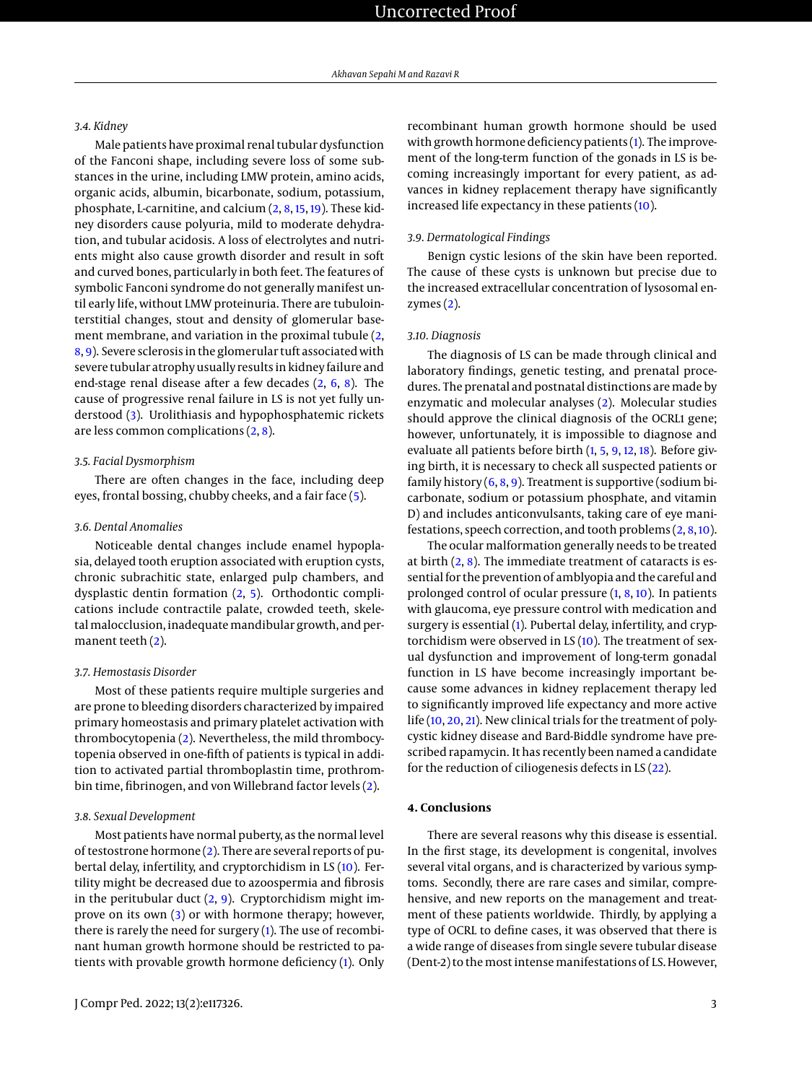## *3.4. Kidney*

Male patients have proximal renal tubular dysfunction of the Fanconi shape, including severe loss of some substances in the urine, including LMW protein, amino acids, organic acids, albumin, bicarbonate, sodium, potassium, phosphate, L-carnitine, and calcium [\(2,](#page-3-4) [8,](#page-3-9) [15,](#page-3-17) [19\)](#page-3-18). These kidney disorders cause polyuria, mild to moderate dehydration, and tubular acidosis. A loss of electrolytes and nutrients might also cause growth disorder and result in soft and curved bones, particularly in both feet. The features of symbolic Fanconi syndrome do not generally manifest until early life, without LMW proteinuria. There are tubulointerstitial changes, stout and density of glomerular basement membrane, and variation in the proximal tubule [\(2,](#page-3-4) [8,](#page-3-9) [9\)](#page-3-6). Severe sclerosis in the glomerular tuft associated with severe tubular atrophy usually results in kidney failure and end-stage renal disease after a few decades [\(2,](#page-3-4) [6,](#page-3-3) [8\)](#page-3-9). The cause of progressive renal failure in LS is not yet fully understood [\(3\)](#page-3-1). Urolithiasis and hypophosphatemic rickets are less common complications  $(2, 8)$  $(2, 8)$  $(2, 8)$ .

# *3.5. Facial Dysmorphism*

There are often changes in the face, including deep eyes, frontal bossing, chubby cheeks, and a fair face [\(5\)](#page-3-15).

## *3.6. Dental Anomalies*

Noticeable dental changes include enamel hypoplasia, delayed tooth eruption associated with eruption cysts, chronic subrachitic state, enlarged pulp chambers, and dysplastic dentin formation [\(2,](#page-3-4) [5\)](#page-3-15). Orthodontic complications include contractile palate, crowded teeth, skeletal malocclusion, inadequate mandibular growth, and permanent teeth [\(2\)](#page-3-4).

#### *3.7. Hemostasis Disorder*

Most of these patients require multiple surgeries and are prone to bleeding disorders characterized by impaired primary homeostasis and primary platelet activation with thrombocytopenia [\(2\)](#page-3-4). Nevertheless, the mild thrombocytopenia observed in one-fifth of patients is typical in addition to activated partial thromboplastin time, prothrombin time, fibrinogen, and von Willebrand factor levels [\(2\)](#page-3-4).

#### *3.8. Sexual Development*

Most patients have normal puberty, as the normal level of testostrone hormone [\(2\)](#page-3-4). There are several reports of pubertal delay, infertility, and cryptorchidism in LS [\(10\)](#page-3-7). Fertility might be decreased due to azoospermia and fibrosis in the peritubular duct  $(2, 9)$  $(2, 9)$  $(2, 9)$ . Cryptorchidism might improve on its own [\(3\)](#page-3-1) or with hormone therapy; however, there is rarely the need for surgery [\(1\)](#page-3-0). The use of recombinant human growth hormone should be restricted to patients with provable growth hormone deficiency [\(1\)](#page-3-0). Only

recombinant human growth hormone should be used with growth hormone deficiency patients [\(1\)](#page-3-0). The improvement of the long-term function of the gonads in LS is becoming increasingly important for every patient, as advances in kidney replacement therapy have significantly increased life expectancy in these patients [\(10\)](#page-3-7).

# *3.9. Dermatological Findings*

Benign cystic lesions of the skin have been reported. The cause of these cysts is unknown but precise due to the increased extracellular concentration of lysosomal enzymes [\(2\)](#page-3-4).

# *3.10. Diagnosis*

The diagnosis of LS can be made through clinical and laboratory findings, genetic testing, and prenatal procedures. The prenatal and postnatal distinctions are made by enzymatic and molecular analyses [\(2\)](#page-3-4). Molecular studies should approve the clinical diagnosis of the OCRL1 gene; however, unfortunately, it is impossible to diagnose and evaluate all patients before birth [\(1,](#page-3-0) [5,](#page-3-15) [9,](#page-3-6) [12,](#page-3-10) [18\)](#page-3-16). Before giving birth, it is necessary to check all suspected patients or family history  $(6, 8, 9)$  $(6, 8, 9)$  $(6, 8, 9)$  $(6, 8, 9)$  $(6, 8, 9)$ . Treatment is supportive (sodium bicarbonate, sodium or potassium phosphate, and vitamin D) and includes anticonvulsants, taking care of eye manifestations, speech correction, and tooth problems [\(2,](#page-3-4) [8,](#page-3-9) [10\)](#page-3-7).

The ocular malformation generally needs to be treated at birth  $(2, 8)$  $(2, 8)$  $(2, 8)$ . The immediate treatment of cataracts is essential for the prevention of amblyopia and the careful and prolonged control of ocular pressure [\(1,](#page-3-0) [8,](#page-3-9) [10\)](#page-3-7). In patients with glaucoma, eye pressure control with medication and surgery is essential [\(1\)](#page-3-0). Pubertal delay, infertility, and cryptorchidism were observed in LS  $(10)$ . The treatment of sexual dysfunction and improvement of long-term gonadal function in LS have become increasingly important because some advances in kidney replacement therapy led to significantly improved life expectancy and more active life [\(10,](#page-3-7) [20,](#page-3-19) [21\)](#page-3-20). New clinical trials for the treatment of polycystic kidney disease and Bard-Biddle syndrome have prescribed rapamycin. It has recently been named a candidate for the reduction of ciliogenesis defects in LS [\(22\)](#page-3-21).

## **4. Conclusions**

There are several reasons why this disease is essential. In the first stage, its development is congenital, involves several vital organs, and is characterized by various symptoms. Secondly, there are rare cases and similar, comprehensive, and new reports on the management and treatment of these patients worldwide. Thirdly, by applying a type of OCRL to define cases, it was observed that there is a wide range of diseases from single severe tubular disease (Dent-2) to the most intense manifestations of LS. However,